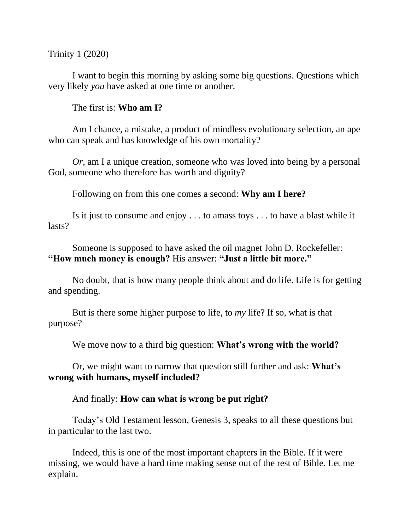Trinity 1 (2020)

I want to begin this morning by asking some big questions. Questions which very likely *you* have asked at one time or another.

The first is: **Who am I?**

Am I chance, a mistake, a product of mindless evolutionary selection, an ape who can speak and has knowledge of his own mortality?

*Or*, am I a unique creation, someone who was loved into being by a personal God, someone who therefore has worth and dignity?

Following on from this one comes a second: **Why am I here?**

Is it just to consume and enjoy . . . to amass toys . . . to have a blast while it lasts?

Someone is supposed to have asked the oil magnet John D. Rockefeller: **"How much money is enough?** His answer: **"Just a little bit more."**

No doubt, that is how many people think about and do life. Life is for getting and spending.

But is there some higher purpose to life, to *my* life? If so, what is that purpose?

We move now to a third big question: **What's wrong with the world?** 

Or, we might want to narrow that question still further and ask: **What's wrong with humans, myself included?**

And finally: **How can what is wrong be put right?** 

Today's Old Testament lesson, Genesis 3, speaks to all these questions but in particular to the last two.

Indeed, this is one of the most important chapters in the Bible. If it were missing, we would have a hard time making sense out of the rest of Bible. Let me explain.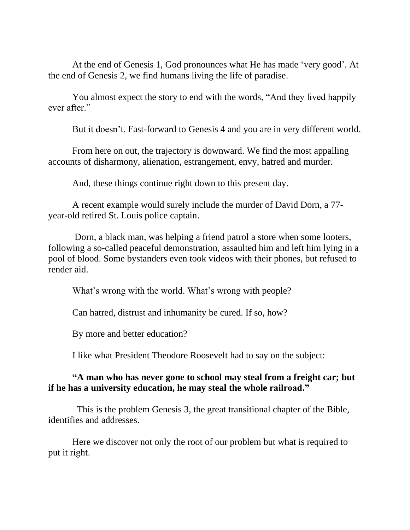At the end of Genesis 1, God pronounces what He has made 'very good'. At the end of Genesis 2, we find humans living the life of paradise.

You almost expect the story to end with the words, "And they lived happily ever after."

But it doesn't. Fast-forward to Genesis 4 and you are in very different world.

From here on out, the trajectory is downward. We find the most appalling accounts of disharmony, alienation, estrangement, envy, hatred and murder.

And, these things continue right down to this present day.

A recent example would surely include the murder of David Dorn, a 77 year-old retired St. Louis police captain.

Dorn, a black man, was helping a friend patrol a store when some looters, following a so-called peaceful demonstration, assaulted him and left him lying in a pool of blood. Some bystanders even took videos with their phones, but refused to render aid.

What's wrong with the world. What's wrong with people?

Can hatred, distrust and inhumanity be cured. If so, how?

By more and better education?

I like what President Theodore Roosevelt had to say on the subject:

## **"A man who has never gone to school may steal from a freight car; but if he has a university education, he may steal the whole railroad."**

 This is the problem Genesis 3, the great transitional chapter of the Bible, identifies and addresses.

Here we discover not only the root of our problem but what is required to put it right.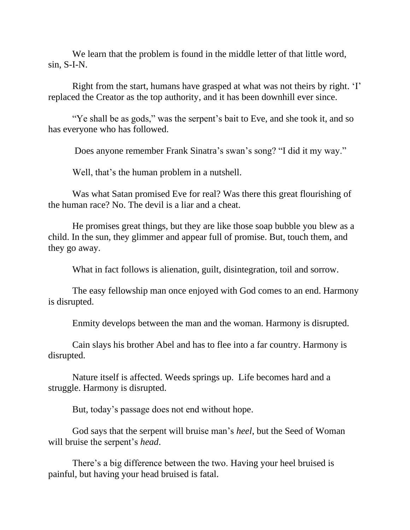We learn that the problem is found in the middle letter of that little word, sin, S-I-N.

Right from the start, humans have grasped at what was not theirs by right. 'I' replaced the Creator as the top authority, and it has been downhill ever since.

"Ye shall be as gods," was the serpent's bait to Eve, and she took it, and so has everyone who has followed.

Does anyone remember Frank Sinatra's swan's song? "I did it my way."

Well, that's the human problem in a nutshell.

Was what Satan promised Eve for real? Was there this great flourishing of the human race? No. The devil is a liar and a cheat.

He promises great things, but they are like those soap bubble you blew as a child. In the sun, they glimmer and appear full of promise. But, touch them, and they go away.

What in fact follows is alienation, guilt, disintegration, toil and sorrow.

The easy fellowship man once enjoyed with God comes to an end. Harmony is disrupted.

Enmity develops between the man and the woman. Harmony is disrupted.

Cain slays his brother Abel and has to flee into a far country. Harmony is disrupted.

Nature itself is affected. Weeds springs up. Life becomes hard and a struggle. Harmony is disrupted.

But, today's passage does not end without hope.

God says that the serpent will bruise man's *heel*, but the Seed of Woman will bruise the serpent's *head*.

There's a big difference between the two. Having your heel bruised is painful, but having your head bruised is fatal.